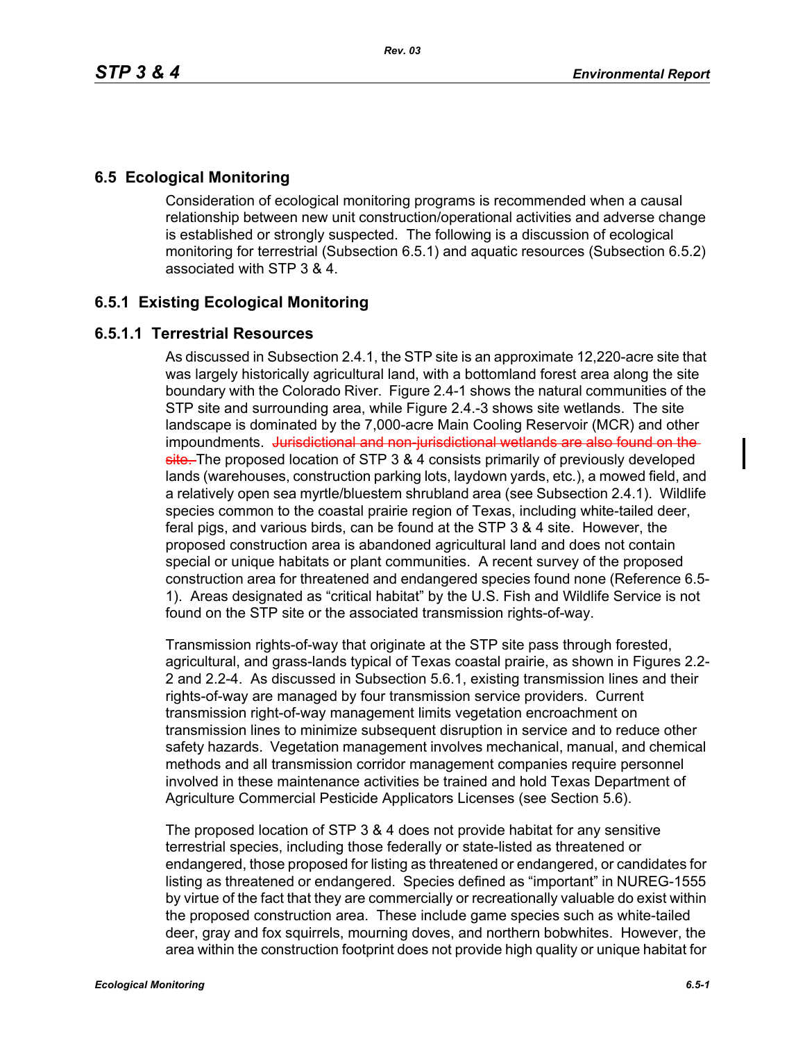#### **6.5 Ecological Monitoring**

Consideration of ecological monitoring programs is recommended when a causal relationship between new unit construction/operational activities and adverse change is established or strongly suspected. The following is a discussion of ecological monitoring for terrestrial (Subsection 6.5.1) and aquatic resources (Subsection 6.5.2) associated with STP 3 & 4.

## **6.5.1 Existing Ecological Monitoring**

#### **6.5.1.1 Terrestrial Resources**

As discussed in Subsection 2.4.1, the STP site is an approximate 12,220-acre site that was largely historically agricultural land, with a bottomland forest area along the site boundary with the Colorado River. Figure 2.4-1 shows the natural communities of the STP site and surrounding area, while Figure 2.4.-3 shows site wetlands. The site landscape is dominated by the 7,000-acre Main Cooling Reservoir (MCR) and other impoundments. Jurisdictional and non-jurisdictional wetlands are also found on the site. The proposed location of STP 3 & 4 consists primarily of previously developed lands (warehouses, construction parking lots, laydown yards, etc.), a mowed field, and a relatively open sea myrtle/bluestem shrubland area (see Subsection 2.4.1). Wildlife species common to the coastal prairie region of Texas, including white-tailed deer, feral pigs, and various birds, can be found at the STP 3 & 4 site. However, the proposed construction area is abandoned agricultural land and does not contain special or unique habitats or plant communities. A recent survey of the proposed construction area for threatened and endangered species found none (Reference 6.5- 1). Areas designated as "critical habitat" by the U.S. Fish and Wildlife Service is not found on the STP site or the associated transmission rights-of-way.

Transmission rights-of-way that originate at the STP site pass through forested, agricultural, and grass-lands typical of Texas coastal prairie, as shown in Figures 2.2- 2 and 2.2-4. As discussed in Subsection 5.6.1, existing transmission lines and their rights-of-way are managed by four transmission service providers. Current transmission right-of-way management limits vegetation encroachment on transmission lines to minimize subsequent disruption in service and to reduce other safety hazards. Vegetation management involves mechanical, manual, and chemical methods and all transmission corridor management companies require personnel involved in these maintenance activities be trained and hold Texas Department of Agriculture Commercial Pesticide Applicators Licenses (see Section 5.6).

The proposed location of STP 3 & 4 does not provide habitat for any sensitive terrestrial species, including those federally or state-listed as threatened or endangered, those proposed for listing as threatened or endangered, or candidates for listing as threatened or endangered. Species defined as "important" in NUREG-1555 by virtue of the fact that they are commercially or recreationally valuable do exist within the proposed construction area. These include game species such as white-tailed deer, gray and fox squirrels, mourning doves, and northern bobwhites. However, the area within the construction footprint does not provide high quality or unique habitat for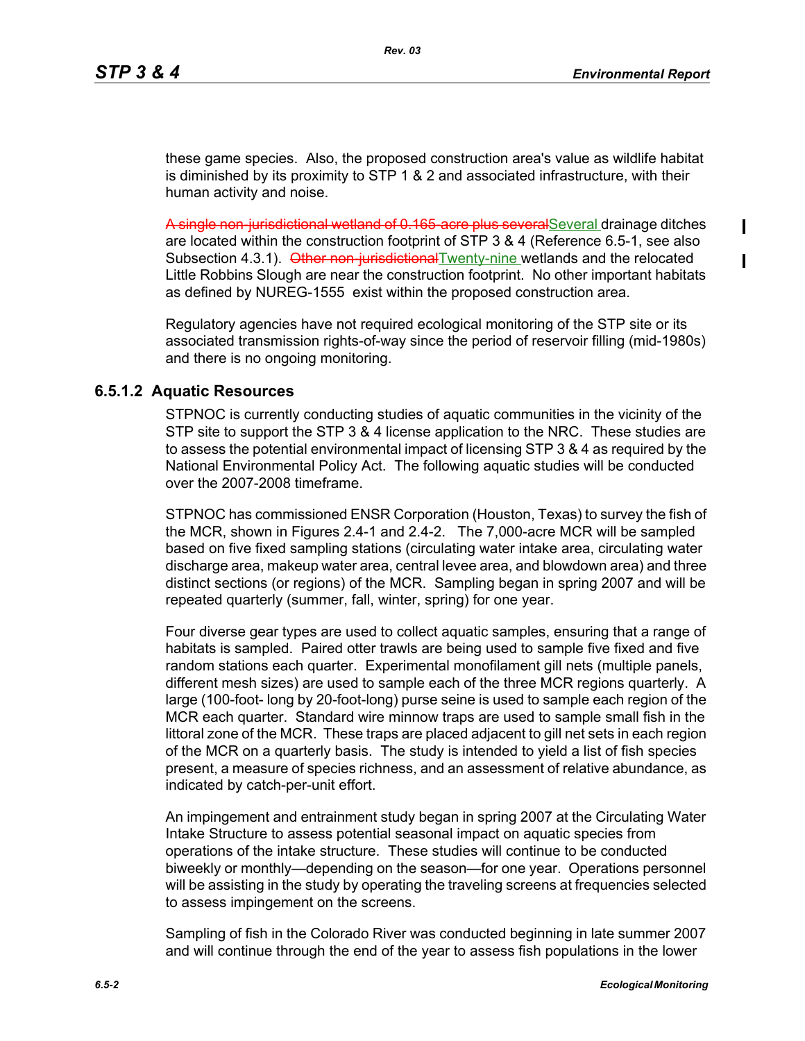$\mathbf I$ 

these game species. Also, the proposed construction area's value as wildlife habitat is diminished by its proximity to STP 1 & 2 and associated infrastructure, with their human activity and noise.

A single non-jurisdictional wetland of 0.165 acre plus severalSeveral drainage ditches are located within the construction footprint of STP 3 & 4 (Reference 6.5-1, see also Subsection 4.3.1). Other non-jurisdictional Twenty-nine wetlands and the relocated Little Robbins Slough are near the construction footprint. No other important habitats as defined by NUREG-1555 exist within the proposed construction area.

Regulatory agencies have not required ecological monitoring of the STP site or its associated transmission rights-of-way since the period of reservoir filling (mid-1980s) and there is no ongoing monitoring.

#### **6.5.1.2 Aquatic Resources**

STPNOC is currently conducting studies of aquatic communities in the vicinity of the STP site to support the STP 3 & 4 license application to the NRC. These studies are to assess the potential environmental impact of licensing STP 3 & 4 as required by the National Environmental Policy Act. The following aquatic studies will be conducted over the 2007-2008 timeframe.

STPNOC has commissioned ENSR Corporation (Houston, Texas) to survey the fish of the MCR, shown in Figures 2.4-1 and 2.4-2. The 7,000-acre MCR will be sampled based on five fixed sampling stations (circulating water intake area, circulating water discharge area, makeup water area, central levee area, and blowdown area) and three distinct sections (or regions) of the MCR. Sampling began in spring 2007 and will be repeated quarterly (summer, fall, winter, spring) for one year.

Four diverse gear types are used to collect aquatic samples, ensuring that a range of habitats is sampled. Paired otter trawls are being used to sample five fixed and five random stations each quarter. Experimental monofilament gill nets (multiple panels, different mesh sizes) are used to sample each of the three MCR regions quarterly. A large (100-foot- long by 20-foot-long) purse seine is used to sample each region of the MCR each quarter. Standard wire minnow traps are used to sample small fish in the littoral zone of the MCR. These traps are placed adjacent to gill net sets in each region of the MCR on a quarterly basis. The study is intended to yield a list of fish species present, a measure of species richness, and an assessment of relative abundance, as indicated by catch-per-unit effort.

An impingement and entrainment study began in spring 2007 at the Circulating Water Intake Structure to assess potential seasonal impact on aquatic species from operations of the intake structure. These studies will continue to be conducted biweekly or monthly—depending on the season—for one year. Operations personnel will be assisting in the study by operating the traveling screens at frequencies selected to assess impingement on the screens.

Sampling of fish in the Colorado River was conducted beginning in late summer 2007 and will continue through the end of the year to assess fish populations in the lower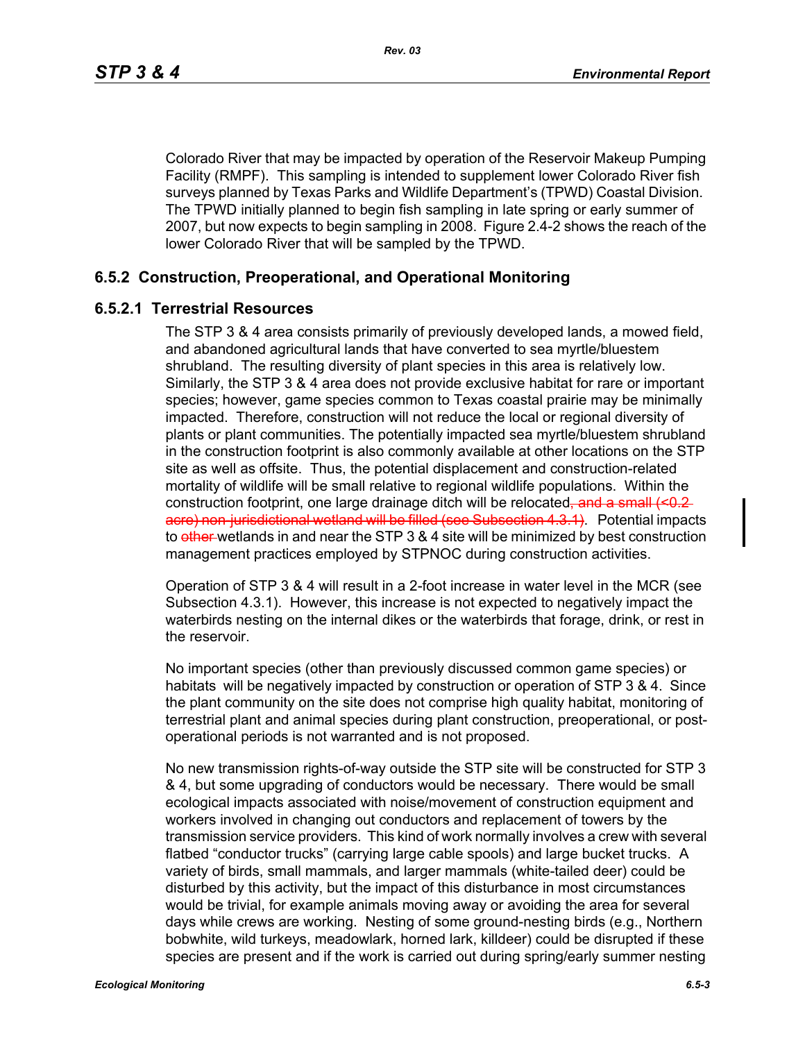Colorado River that may be impacted by operation of the Reservoir Makeup Pumping Facility (RMPF). This sampling is intended to supplement lower Colorado River fish surveys planned by Texas Parks and Wildlife Department's (TPWD) Coastal Division. The TPWD initially planned to begin fish sampling in late spring or early summer of 2007, but now expects to begin sampling in 2008. Figure 2.4-2 shows the reach of the lower Colorado River that will be sampled by the TPWD.

## **6.5.2 Construction, Preoperational, and Operational Monitoring**

#### **6.5.2.1 Terrestrial Resources**

The STP 3 & 4 area consists primarily of previously developed lands, a mowed field, and abandoned agricultural lands that have converted to sea myrtle/bluestem shrubland. The resulting diversity of plant species in this area is relatively low. Similarly, the STP 3 & 4 area does not provide exclusive habitat for rare or important species; however, game species common to Texas coastal prairie may be minimally impacted. Therefore, construction will not reduce the local or regional diversity of plants or plant communities. The potentially impacted sea myrtle/bluestem shrubland in the construction footprint is also commonly available at other locations on the STP site as well as offsite. Thus, the potential displacement and construction-related mortality of wildlife will be small relative to regional wildlife populations. Within the construction footprint, one large drainage ditch will be relocated, and a small  $\leq 0.2$ acre) non-jurisdictional wetland will be filled (see Subsection 4.3.1). Potential impacts to other wetlands in and near the STP 3 & 4 site will be minimized by best construction management practices employed by STPNOC during construction activities.

Operation of STP 3 & 4 will result in a 2-foot increase in water level in the MCR (see Subsection 4.3.1). However, this increase is not expected to negatively impact the waterbirds nesting on the internal dikes or the waterbirds that forage, drink, or rest in the reservoir.

No important species (other than previously discussed common game species) or habitats will be negatively impacted by construction or operation of STP 3 & 4. Since the plant community on the site does not comprise high quality habitat, monitoring of terrestrial plant and animal species during plant construction, preoperational, or postoperational periods is not warranted and is not proposed.

No new transmission rights-of-way outside the STP site will be constructed for STP 3 & 4, but some upgrading of conductors would be necessary. There would be small ecological impacts associated with noise/movement of construction equipment and workers involved in changing out conductors and replacement of towers by the transmission service providers. This kind of work normally involves a crew with several flatbed "conductor trucks" (carrying large cable spools) and large bucket trucks. A variety of birds, small mammals, and larger mammals (white-tailed deer) could be disturbed by this activity, but the impact of this disturbance in most circumstances would be trivial, for example animals moving away or avoiding the area for several days while crews are working. Nesting of some ground-nesting birds (e.g., Northern bobwhite, wild turkeys, meadowlark, horned lark, killdeer) could be disrupted if these species are present and if the work is carried out during spring/early summer nesting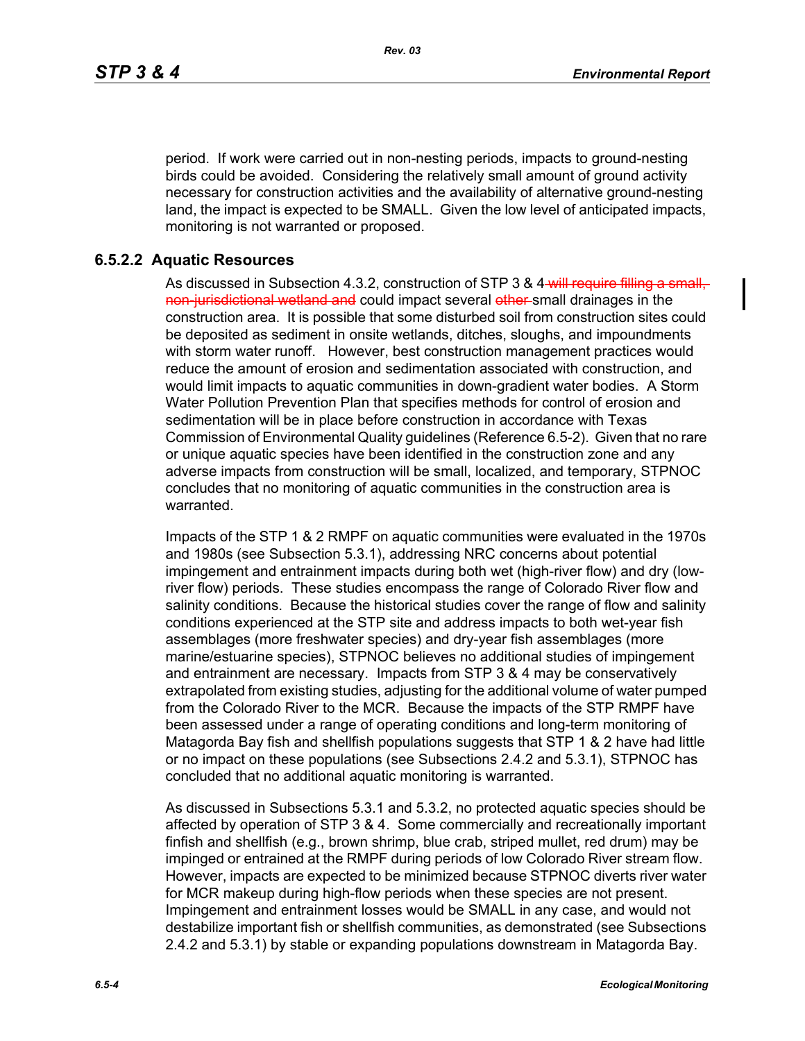period. If work were carried out in non-nesting periods, impacts to ground-nesting birds could be avoided. Considering the relatively small amount of ground activity necessary for construction activities and the availability of alternative ground-nesting land, the impact is expected to be SMALL. Given the low level of anticipated impacts, monitoring is not warranted or proposed.

## **6.5.2.2 Aquatic Resources**

As discussed in Subsection 4.3.2, construction of STP 3 & 4 will require filling a small, non-jurisdictional wetland and could impact several other-small drainages in the construction area. It is possible that some disturbed soil from construction sites could be deposited as sediment in onsite wetlands, ditches, sloughs, and impoundments with storm water runoff. However, best construction management practices would reduce the amount of erosion and sedimentation associated with construction, and would limit impacts to aquatic communities in down-gradient water bodies. A Storm Water Pollution Prevention Plan that specifies methods for control of erosion and sedimentation will be in place before construction in accordance with Texas Commission of Environmental Quality guidelines (Reference 6.5-2). Given that no rare or unique aquatic species have been identified in the construction zone and any adverse impacts from construction will be small, localized, and temporary, STPNOC concludes that no monitoring of aquatic communities in the construction area is warranted.

Impacts of the STP 1 & 2 RMPF on aquatic communities were evaluated in the 1970s and 1980s (see Subsection 5.3.1), addressing NRC concerns about potential impingement and entrainment impacts during both wet (high-river flow) and dry (lowriver flow) periods. These studies encompass the range of Colorado River flow and salinity conditions. Because the historical studies cover the range of flow and salinity conditions experienced at the STP site and address impacts to both wet-year fish assemblages (more freshwater species) and dry-year fish assemblages (more marine/estuarine species), STPNOC believes no additional studies of impingement and entrainment are necessary. Impacts from STP 3 & 4 may be conservatively extrapolated from existing studies, adjusting for the additional volume of water pumped from the Colorado River to the MCR. Because the impacts of the STP RMPF have been assessed under a range of operating conditions and long-term monitoring of Matagorda Bay fish and shellfish populations suggests that STP 1 & 2 have had little or no impact on these populations (see Subsections 2.4.2 and 5.3.1), STPNOC has concluded that no additional aquatic monitoring is warranted.

As discussed in Subsections 5.3.1 and 5.3.2, no protected aquatic species should be affected by operation of STP 3 & 4. Some commercially and recreationally important finfish and shellfish (e.g., brown shrimp, blue crab, striped mullet, red drum) may be impinged or entrained at the RMPF during periods of low Colorado River stream flow. However, impacts are expected to be minimized because STPNOC diverts river water for MCR makeup during high-flow periods when these species are not present. Impingement and entrainment losses would be SMALL in any case, and would not destabilize important fish or shellfish communities, as demonstrated (see Subsections 2.4.2 and 5.3.1) by stable or expanding populations downstream in Matagorda Bay.